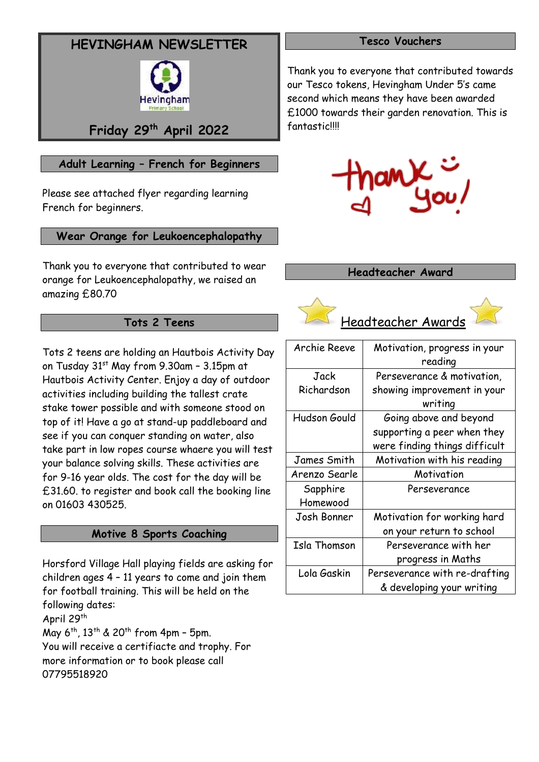# **HEVINGHAM NEWSLETTER**



# **Friday 29th April 2022**

# **Adult Learning – French for Beginners**

Please see attached flyer regarding learning French for beginners.

## **Wear Orange for Leukoencephalopathy**

Thank you to everyone that contributed to wear orange for [Leukoencephalopathy,](https://medlineplus.gov/genetics/condition/leukoencephalopathy-with-vanishing-white-matter/#:~:text=Description&text=Leukoencephalopathy%20with%20vanishing%20white%20matter%20is%20a%20progressive%20disorder%20that,nerve%20fibers%20covered%20by%20myelin.) we raised an amazing £80.70

## **Tots 2 Teens**

Tots 2 teens are holding an Hautbois Activity Day on Tusday 31<sup>st</sup> May from 9.30am - 3.15pm at Hautbois Activity Center. Enjoy a day of outdoor activities including building the tallest crate stake tower possible and with someone stood on top of it! Have a go at stand-up paddleboard and see if you can conquer standing on water, also take part in low ropes course whaere you will test your balance solving skills. These activities are for 9-16 year olds. The cost for the day will be £31.60. to register and book call the booking line on 01603 430525.

### **Motive 8 Sports Coaching**

Horsford Village Hall playing fields are asking for children ages 4 – 11 years to come and join them for football training. This will be held on the following dates: April 29<sup>th</sup> May 6<sup>th</sup>, 13<sup>th</sup> & 20<sup>th</sup> from 4pm - 5pm. You will receive a certifiacte and trophy. For more information or to book please call

07795518920

### **Tesco Vouchers**

Thank you to everyone that contributed towards our Tesco tokens, Hevingham Under 5's came second which means they have been awarded £1000 towards their garden renovation. This is fantastic!!!!



#### **Headteacher Award**



| Archie Reeve  | Motivation, progress in your  |
|---------------|-------------------------------|
|               | reading                       |
| Jack          | Perseverance & motivation.    |
| Richardson    | showing improvement in your   |
|               | writing                       |
| Hudson Gould  | Going above and beyond        |
|               | supporting a peer when they   |
|               | were finding things difficult |
| James Smith   | Motivation with his reading   |
| Arenzo Searle | Motivation                    |
| Sapphire      | Perseverance                  |
| Homewood      |                               |
| Josh Bonner   | Motivation for working hard   |
|               | on your return to school      |
| Isla Thomson  | Perseverance with her         |
|               | progress in Maths             |
| Lola Gaskin   | Perseverance with re-drafting |
|               | & developing your writing     |